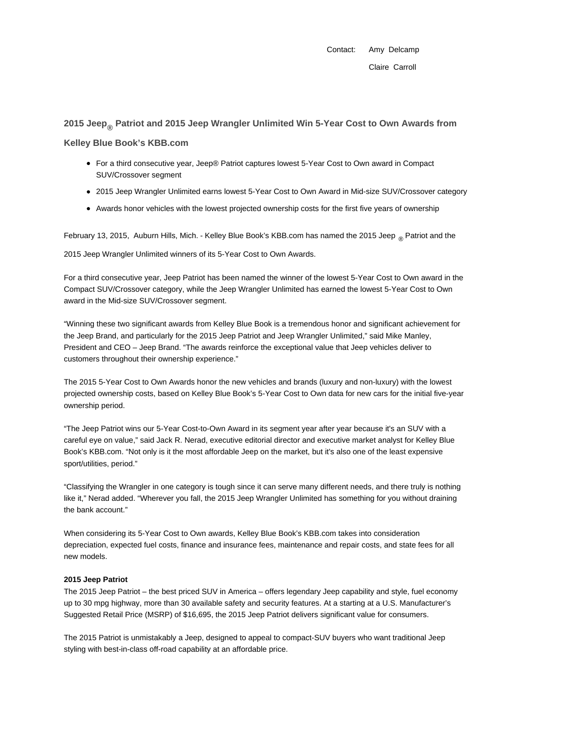Contact: Amy Delcamp Claire Carroll

# **2015 Jeep® Patriot and 2015 Jeep Wrangler Unlimited Win 5-Year Cost to Own Awards from**

**Kelley Blue Book's KBB.com**

- For a third consecutive year, Jeep® Patriot captures lowest 5-Year Cost to Own award in Compact SUV/Crossover segment
- 2015 Jeep Wrangler Unlimited earns lowest 5-Year Cost to Own Award in Mid-size SUV/Crossover category
- Awards honor vehicles with the lowest projected ownership costs for the first five years of ownership

February 13, 2015, Auburn Hills, Mich. - Kelley Blue Book's KBB.com has named the 2015 Jeep  $_{\circledast}$  Patriot and the

2015 Jeep Wrangler Unlimited winners of its 5-Year Cost to Own Awards.

For a third consecutive year, Jeep Patriot has been named the winner of the lowest 5-Year Cost to Own award in the Compact SUV/Crossover category, while the Jeep Wrangler Unlimited has earned the lowest 5-Year Cost to Own award in the Mid-size SUV/Crossover segment.

"Winning these two significant awards from Kelley Blue Book is a tremendous honor and significant achievement for the Jeep Brand, and particularly for the 2015 Jeep Patriot and Jeep Wrangler Unlimited," said Mike Manley, President and CEO – Jeep Brand. "The awards reinforce the exceptional value that Jeep vehicles deliver to customers throughout their ownership experience."

The 2015 5-Year Cost to Own Awards honor the new vehicles and brands (luxury and non-luxury) with the lowest projected ownership costs, based on Kelley Blue Book's 5-Year Cost to Own data for new cars for the initial five-year ownership period.

"The Jeep Patriot wins our 5-Year Cost-to-Own Award in its segment year after year because it's an SUV with a careful eye on value," said Jack R. Nerad, executive editorial director and executive market analyst for Kelley Blue Book's KBB.com. "Not only is it the most affordable Jeep on the market, but it's also one of the least expensive sport/utilities, period."

"Classifying the Wrangler in one category is tough since it can serve many different needs, and there truly is nothing like it," Nerad added. "Wherever you fall, the 2015 Jeep Wrangler Unlimited has something for you without draining the bank account."

When considering its 5-Year Cost to Own awards, Kelley Blue Book's KBB.com takes into consideration depreciation, expected fuel costs, finance and insurance fees, maintenance and repair costs, and state fees for all new models.

# **2015 Jeep Patriot**

The 2015 Jeep Patriot – the best priced SUV in America – offers legendary Jeep capability and style, fuel economy up to 30 mpg highway, more than 30 available safety and security features. At a starting at a U.S. Manufacturer's Suggested Retail Price (MSRP) of \$16,695, the 2015 Jeep Patriot delivers significant value for consumers.

The 2015 Patriot is unmistakably a Jeep, designed to appeal to compact-SUV buyers who want traditional Jeep styling with best-in-class off-road capability at an affordable price.